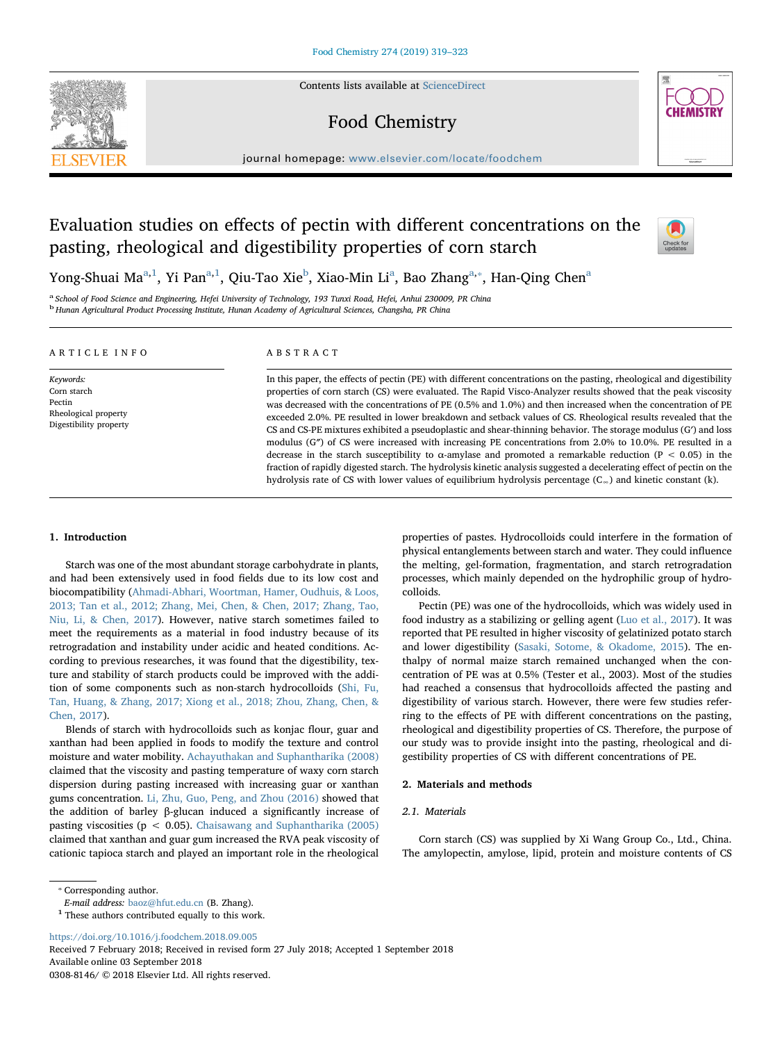Contents lists available at [ScienceDirect](http://www.sciencedirect.com/science/journal/03088146)

## Food Chemistry



# Evaluation studies on effects of pectin with different concentrations on the pasting, rheological and digestibility properties of corn starch



Yong-Shu[a](#page-0-0)i Ma<sup>a[,1](#page-0-1)</sup>, Yi Pan<sup>a,1</sup>, Qiu-Tao Xie<sup>[b](#page-0-2)</sup>, Xiao-Min Li<sup>a</sup>, Bao Zhang<sup>a,</sup>\*, Han-Qing Chen<sup>a</sup>

<span id="page-0-2"></span><span id="page-0-0"></span>a School of Food Science and Engineering, Hefei University of Technology, 193 Tunxi Road, Hefei, Anhui 230009, PR China <sup>b</sup> Hunan Agricultural Product Processing Institute, Hunan Academy of Agricultural Sciences, Changsha, PR China

| ARTICLE INFO                                                                         | ABSTRACT                                                                                                                                                                                                                                                                                                                                                                                                                                                                                                                                                                                                                                                                                                                                                                                                                                                                                                                                           |
|--------------------------------------------------------------------------------------|----------------------------------------------------------------------------------------------------------------------------------------------------------------------------------------------------------------------------------------------------------------------------------------------------------------------------------------------------------------------------------------------------------------------------------------------------------------------------------------------------------------------------------------------------------------------------------------------------------------------------------------------------------------------------------------------------------------------------------------------------------------------------------------------------------------------------------------------------------------------------------------------------------------------------------------------------|
| Keywords:<br>Corn starch<br>Pectin<br>Rheological property<br>Digestibility property | In this paper, the effects of pectin (PE) with different concentrations on the pasting, rheological and digestibility<br>properties of corn starch (CS) were evaluated. The Rapid Visco-Analyzer results showed that the peak viscosity<br>was decreased with the concentrations of PE (0.5% and 1.0%) and then increased when the concentration of PE<br>exceeded 2.0%. PE resulted in lower breakdown and setback values of CS. Rheological results revealed that the<br>CS and CS-PE mixtures exhibited a pseudoplastic and shear-thinning behavior. The storage modulus (G') and loss<br>modulus (G") of CS were increased with increasing PE concentrations from 2.0% to 10.0%. PE resulted in a<br>decrease in the starch susceptibility to $\alpha$ -amylase and promoted a remarkable reduction (P < 0.05) in the<br>fraction of rapidly digested starch. The hydrolysis kinetic analysis suggested a decelerating effect of pectin on the |

## 1. Introduction

Starch was one of the most abundant storage carbohydrate in plants, and had been extensively used in food fields due to its low cost and biocompatibility ([Ahmadi-Abhari, Woortman, Hamer, Oudhuis, & Loos,](#page--1-0) [2013; Tan et al., 2012; Zhang, Mei, Chen, & Chen, 2017; Zhang, Tao,](#page--1-0) [Niu, Li, & Chen, 2017](#page--1-0)). However, native starch sometimes failed to meet the requirements as a material in food industry because of its retrogradation and instability under acidic and heated conditions. According to previous researches, it was found that the digestibility, texture and stability of starch products could be improved with the addition of some components such as non-starch hydrocolloids ([Shi, Fu,](#page--1-1) [Tan, Huang, & Zhang, 2017; Xiong et al., 2018; Zhou, Zhang, Chen, &](#page--1-1) [Chen, 2017](#page--1-1)).

Blends of starch with hydrocolloids such as konjac flour, guar and xanthan had been applied in foods to modify the texture and control moisture and water mobility. [Achayuthakan and Suphantharika \(2008\)](#page--1-2) claimed that the viscosity and pasting temperature of waxy corn starch dispersion during pasting increased with increasing guar or xanthan gums concentration. [Li, Zhu, Guo, Peng, and Zhou \(2016\)](#page--1-3) showed that the addition of barley β-glucan induced a significantly increase of pasting viscosities ( $p < 0.05$ ). [Chaisawang and Suphantharika \(2005\)](#page--1-4) claimed that xanthan and guar gum increased the RVA peak viscosity of cationic tapioca starch and played an important role in the rheological properties of pastes. Hydrocolloids could interfere in the formation of physical entanglements between starch and water. They could influence the melting, gel-formation, fragmentation, and starch retrogradation processes, which mainly depended on the hydrophilic group of hydrocolloids.

Pectin (PE) was one of the hydrocolloids, which was widely used in food industry as a stabilizing or gelling agent ([Luo et al., 2017\)](#page--1-5). It was reported that PE resulted in higher viscosity of gelatinized potato starch and lower digestibility ([Sasaki, Sotome, & Okadome, 2015](#page--1-6)). The enthalpy of normal maize starch remained unchanged when the concentration of PE was at 0.5% (Tester et al., 2003). Most of the studies had reached a consensus that hydrocolloids affected the pasting and digestibility of various starch. However, there were few studies referring to the effects of PE with different concentrations on the pasting, rheological and digestibility properties of CS. Therefore, the purpose of our study was to provide insight into the pasting, rheological and digestibility properties of CS with different concentrations of PE.

## 2. Materials and methods

hydrolysis rate of CS with lower values of equilibrium hydrolysis percentage (C∞) and kinetic constant (k).

## 2.1. Materials

Corn starch (CS) was supplied by Xi Wang Group Co., Ltd., China. The amylopectin, amylose, lipid, protein and moisture contents of CS

<span id="page-0-3"></span>⁎ Corresponding author.

<https://doi.org/10.1016/j.foodchem.2018.09.005>

Received 7 February 2018; Received in revised form 27 July 2018; Accepted 1 September 2018 Available online 03 September 2018 0308-8146/ © 2018 Elsevier Ltd. All rights reserved.

E-mail address: [baoz@hfut.edu.cn](mailto:baoz@hfut.edu.cn) (B. Zhang).

<span id="page-0-1"></span> $^{\rm 1}$  These authors contributed equally to this work.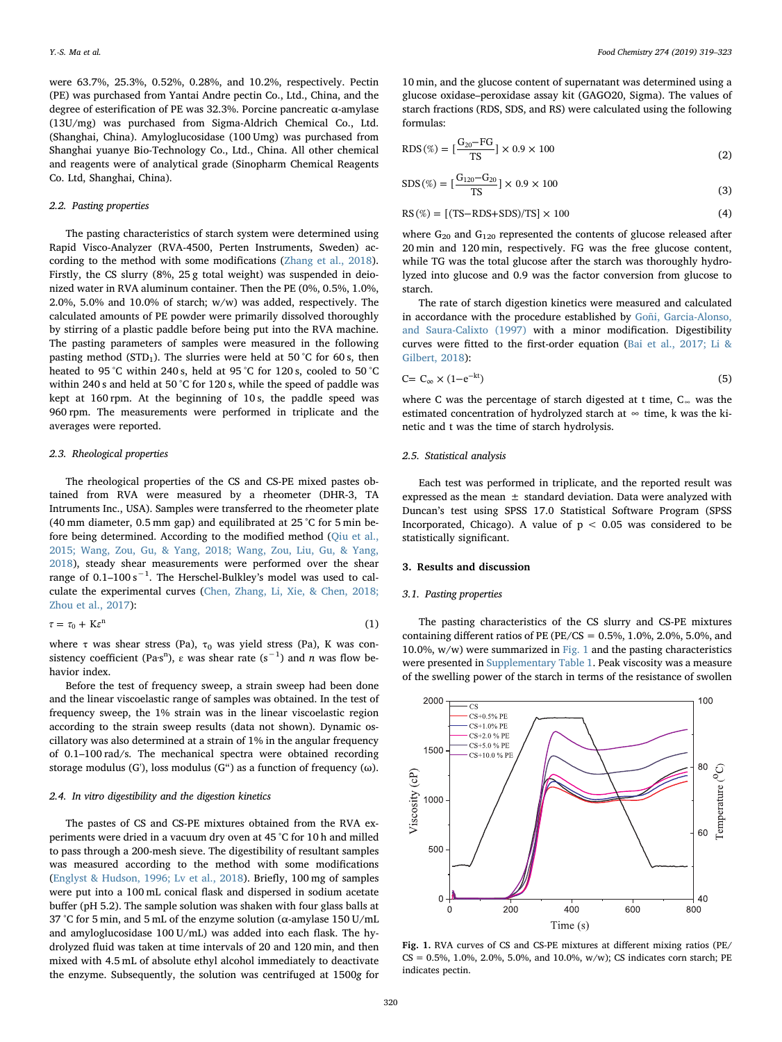were 63.7%, 25.3%, 0.52%, 0.28%, and 10.2%, respectively. Pectin (PE) was purchased from Yantai Andre pectin Co., Ltd., China, and the degree of esterification of PE was 32.3%. Porcine pancreatic α-amylase (13U/mg) was purchased from Sigma-Aldrich Chemical Co., Ltd. (Shanghai, China). Amyloglucosidase (100 Umg) was purchased from Shanghai yuanye Bio-Technology Co., Ltd., China. All other chemical and reagents were of analytical grade (Sinopharm Chemical Reagents Co. Ltd, Shanghai, China).

## 2.2. Pasting properties

The pasting characteristics of starch system were determined using Rapid Visco-Analyzer (RVA-4500, Perten Instruments, Sweden) according to the method with some modifications ([Zhang et al., 2018](#page--1-7)). Firstly, the CS slurry (8%, 25 g total weight) was suspended in deionized water in RVA aluminum container. Then the PE (0%, 0.5%, 1.0%, 2.0%, 5.0% and 10.0% of starch; w/w) was added, respectively. The calculated amounts of PE powder were primarily dissolved thoroughly by stirring of a plastic paddle before being put into the RVA machine. The pasting parameters of samples were measured in the following pasting method (STD<sub>1</sub>). The slurries were held at 50 °C for 60 s, then heated to 95 °C within 240 s, held at 95 °C for 120 s, cooled to 50 °C within 240 s and held at 50 °C for 120 s, while the speed of paddle was kept at 160 rpm. At the beginning of 10 s, the paddle speed was 960 rpm. The measurements were performed in triplicate and the averages were reported.

#### 2.3. Rheological properties

The rheological properties of the CS and CS-PE mixed pastes obtained from RVA were measured by a rheometer (DHR-3, TA Intruments Inc., USA). Samples were transferred to the rheometer plate (40 mm diameter, 0.5 mm gap) and equilibrated at 25 °C for 5 min before being determined. According to the modified method [\(Qiu et al.,](#page--1-8) [2015; Wang, Zou, Gu, & Yang, 2018; Wang, Zou, Liu, Gu, & Yang,](#page--1-8) [2018\)](#page--1-8), steady shear measurements were performed over the shear range of  $0.1-100 s^{-1}$ . The Herschel-Bulkley's model was used to calculate the experimental curves ([Chen, Zhang, Li, Xie, & Chen, 2018;](#page--1-9) [Zhou et al., 2017](#page--1-9)):

$$
\tau = \tau_0 + K \varepsilon^n \tag{1}
$$

where  $\tau$  was shear stress (Pa),  $\tau_0$  was yield stress (Pa), K was consistency coefficient (Pa·s<sup>n</sup>),  $\varepsilon$  was shear rate (s<sup>-1</sup>) and *n* was flow behavior index.

Before the test of frequency sweep, a strain sweep had been done and the linear viscoelastic range of samples was obtained. In the test of frequency sweep, the 1% strain was in the linear viscoelastic region according to the strain sweep results (data not shown). Dynamic oscillatory was also determined at a strain of 1% in the angular frequency of 0.1–100 rad/s. The mechanical spectra were obtained recording storage modulus (G'), loss modulus (G") as a function of frequency ( $\omega$ ).

## 2.4. In vitro digestibility and the digestion kinetics

The pastes of CS and CS-PE mixtures obtained from the RVA experiments were dried in a vacuum dry oven at 45 °C for 10 h and milled to pass through a 200-mesh sieve. The digestibility of resultant samples was measured according to the method with some modifications ([Englyst & Hudson, 1996; Lv et al., 2018](#page--1-10)). Briefly, 100 mg of samples were put into a 100 mL conical flask and dispersed in sodium acetate buffer (pH 5.2). The sample solution was shaken with four glass balls at 37 °C for 5 min, and 5 mL of the enzyme solution ( $\alpha$ -amylase 150 U/mL and amyloglucosidase 100 U/mL) was added into each flask. The hydrolyzed fluid was taken at time intervals of 20 and 120 min, and then mixed with 4.5 mL of absolute ethyl alcohol immediately to deactivate the enzyme. Subsequently, the solution was centrifuged at 1500g for

10 min, and the glucose content of supernatant was determined using a glucose oxidase–peroxidase assay kit (GAGO20, Sigma). The values of starch fractions (RDS, SDS, and RS) were calculated using the following formulas:

RDS 
$$
(\%) = [\frac{G_{20} - FG}{TS}] \times 0.9 \times 100
$$
 (2)

$$
SDS(\%) = \left[\frac{G_{120} - G_{20}}{TS}\right] \times 0.9 \times 100\tag{3}
$$

$$
RS(\%) = [(TS - RDS + SDS)/TS] \times 100
$$
\n(4)

where  $G_{20}$  and  $G_{120}$  represented the contents of glucose released after 20 min and 120 min, respectively. FG was the free glucose content, while TG was the total glucose after the starch was thoroughly hydrolyzed into glucose and 0.9 was the factor conversion from glucose to starch.

The rate of starch digestion kinetics were measured and calculated in accordance with the procedure established by [Goñi, Garcia-Alonso,](#page--1-11) [and Saura-Calixto \(1997\)](#page--1-11) with a minor modification. Digestibility curves were fitted to the first-order equation [\(Bai et al., 2017; Li &](#page--1-12) [Gilbert, 2018\)](#page--1-12):

$$
C = C_{\infty} \times (1 - e^{-kt})
$$
\n<sup>(5)</sup>

where C was the percentage of starch digested at t time, C∞ was the estimated concentration of hydrolyzed starch at  $\infty$  time, k was the kinetic and t was the time of starch hydrolysis.

## 2.5. Statistical analysis

Each test was performed in triplicate, and the reported result was expressed as the mean  $\pm$  standard deviation. Data were analyzed with Duncan's test using SPSS 17.0 Statistical Software Program (SPSS Incorporated, Chicago). A value of  $p < 0.05$  was considered to be statistically significant.

## 3. Results and discussion

## 3.1. Pasting properties

The pasting characteristics of the CS slurry and CS-PE mixtures containing different ratios of PE (PE/CS =  $0.5\%$ ,  $1.0\%$ ,  $2.0\%$ ,  $5.0\%$ , and 10.0%,  $w/w$ ) were summarized in [Fig. 1](#page-1-0) and the pasting characteristics were presented in Supplementary Table 1. Peak viscosity was a measure of the swelling power of the starch in terms of the resistance of swollen

<span id="page-1-0"></span>

Fig. 1. RVA curves of CS and CS-PE mixtures at different mixing ratios (PE/  $CS = 0.5\%, 1.0\%, 2.0\%, 5.0\%, \text{ and } 10.0\%, w/w$ ); CS indicates corn starch; PE indicates pectin.